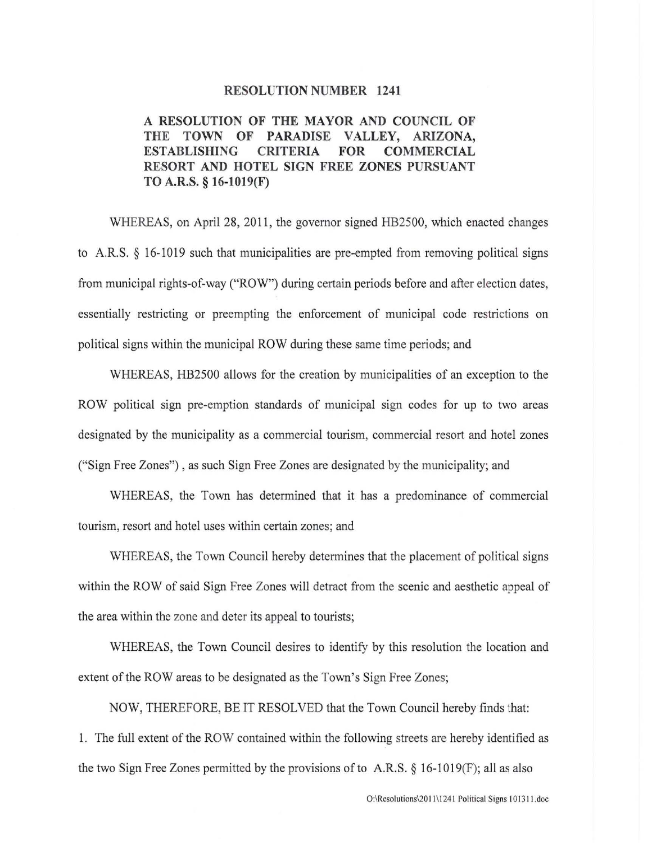## **RESOLUTION NUMBER 1241**

## **A RESOLUTION OF THE MAYOR AND COUNCIL OF THE TOWN OF PARADISE VALLEY, ARIZONA, ESTABLISHING CRITERIA FOR COMMERCIAL RESORT AND HOTEL SIGN FREE ZONES PURSUANT TO A.R.S. § 16-1019(F)**

WHEREAS, on April 28, 2011, the governor signed HB2500, which enacted changes to A.R.S. § 16-1019 such that municipalities are pre-empted from removing political signs from municipal rights-of-way ("ROW") during certain periods before and after election dates, essentially restricting or preempting the enforcement of municipal code restrictions on political signs within the municipal ROW during these same time periods; and

WHEREAS, HB2500 allows for the creation by municipalities of an exception to the ROW political sign pre-emption standards of municipal sign codes for up to two areas designated by the municipality as a commercial tourism, commercial resort and hotel zones ("Sign Free Zones") , as such Sign Free Zones are designated by the municipality; and

WHEREAS, the Town has determined that it has a predominance of commercial tourism, resort and hotel uses within certain zones; and

WHEREAS, the Town Council hereby determines that the placement of political signs within the ROW of said Sign Free Zones will detract from the scenic and aesthetic appeal of the area within the zone and deter its appeal to tourists;

WHEREAS, the Town Council desires to identify by this resolution the location and extent of the ROW areas to be designated as the Town's Sign Free Zones;

NOW, THEREFORE, BE IT RESOLVED that the Town Council hereby finds that: 1. The full extent of the ROW contained within the following streets are hereby identified as the two Sign Free Zones permitted by the provisions of to A.R.S.  $\S$  16-1019(F); all as also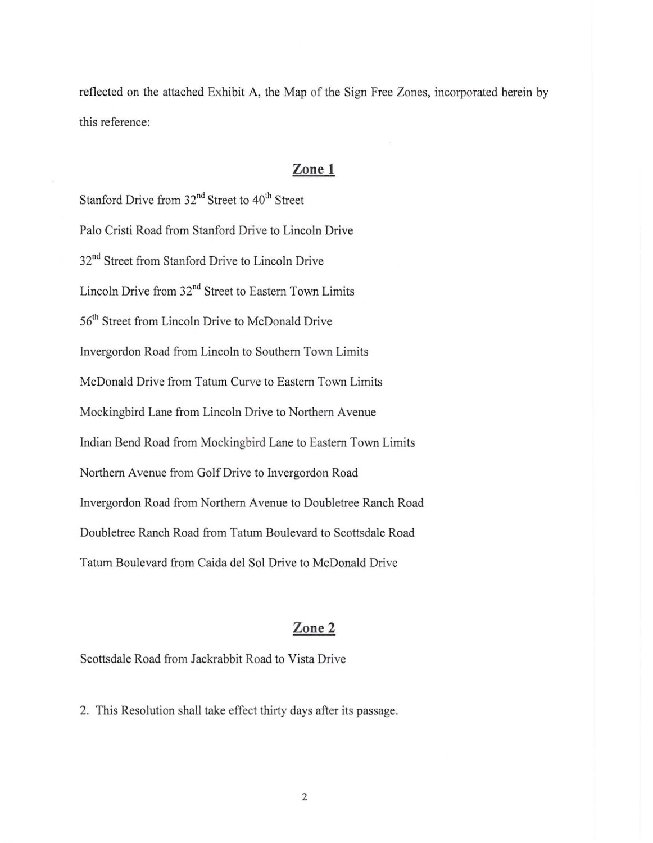reflected on the attached Exhibit A, the Map of the Sign Free Zones, incorporated herein by this reference:

## **Zone 1**

Stanford Drive from 32<sup>nd</sup> Street to 40<sup>th</sup> Street Palo Cristi Road from Stanford Drive to Lincoln Drive 32<sup>nd</sup> Street from Stanford Drive to Lincoln Drive Lincoln Drive from 32nd Street to Eastern Town Limits 56<sup>th</sup> Street from Lincoln Drive to McDonald Drive Invergordon Road from Lincoln to Southern Town Limits McDonald Drive from Tatum Curve to Eastern Town Limits Mockingbird Lane from Lincoln Drive to Northern Avenue Indian Bend Road from Mockingbird Lane to Eastern Town Limits Northern Avenue from Golf Drive to Invergordon Road Invergordon Road from Northern Avenue to Doubletree Ranch Road Doubletree Ranch Road from Tatum Boulevard to Scottsdale Road Tatum Boulevard from Caida del Sol Drive to McDonald Drive

## **Zone 2**

Scottsdale Road from Jackrabbit Road to Vista Drive

2. This Resolution shall take effect thirty days after its passage.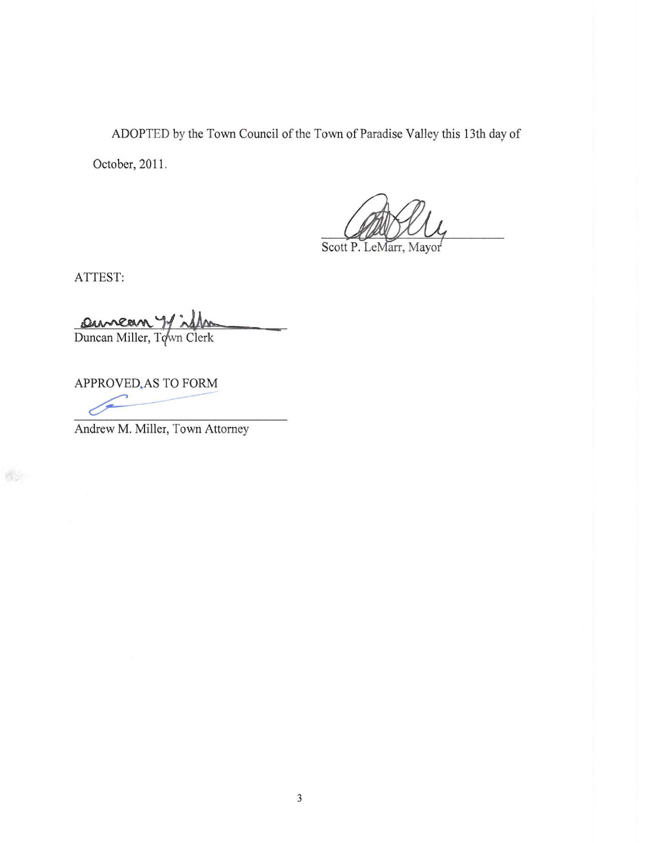ADOPTED by the Town Council of the Town of Paradise Valley this 13th day of

October, 2011.

Scott P. LeMarr, Mayor

ATTEST:

Duncan Y is the

APPROVED.AS TO FORM

Andrew M. Miller, Town Attorney